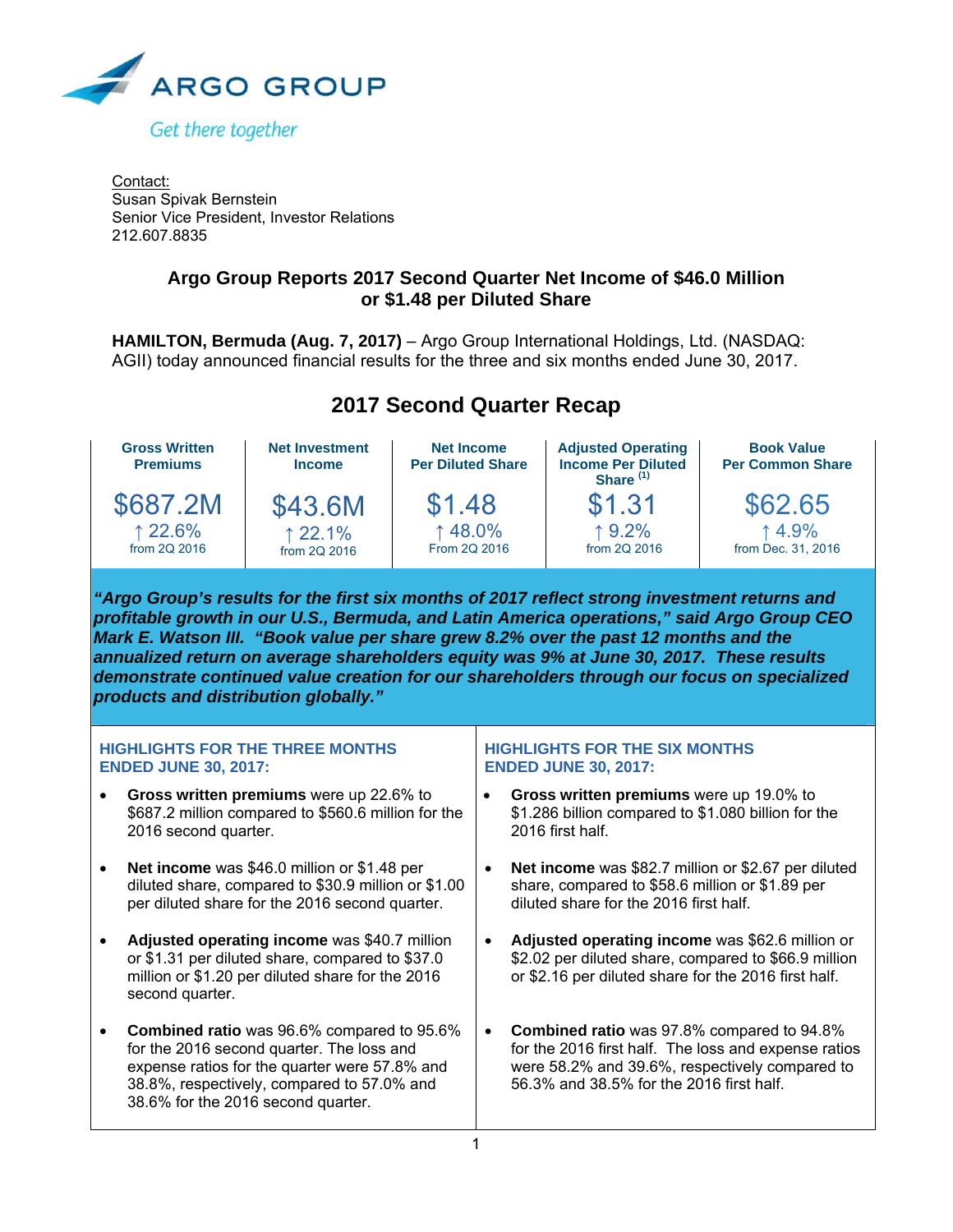

Contact: Susan Spivak Bernstein Senior Vice President, Investor Relations 212.607.8835

# **Argo Group Reports 2017 Second Quarter Net Income of \$46.0 Million or \$1.48 per Diluted Share**

**HAMILTON, Bermuda (Aug. 7, 2017)** – Argo Group International Holdings, Ltd. (NASDAQ: AGII) today announced financial results for the three and six months ended June 30, 2017.

#### **2017 Second Quarter Recap Gross Written Premiums**  \$687.2M ↑ 22.6% from 2Q 2016 **Net Investment Income**  \$43.6M ↑ 22.1% from 2Q 2016 **Net Income Per Diluted Share**  \$1.48 ↑ 48.0% From 2Q 2016 **Adjusted Operating Income Per Diluted Share (1)**  \$1.31 ↑ 9.2% from 2Q 2016 **Book Value Per Common Share**  \$62.65 ↑ 4.9% from Dec. 31, 2016 *"Argo Group's results for the first six months of 2017 reflect strong investment returns and profitable growth in our U.S., Bermuda, and Latin America operations," said Argo Group CEO Mark E. Watson III. "Book value per share grew 8.2% over the past 12 months and the annualized return on average shareholders equity was 9% at June 30, 2017. These results demonstrate continued value creation for our shareholders through our focus on specialized products and distribution globally."*  **HIGHLIGHTS FOR THE THREE MONTHS ENDED JUNE 30, 2017: Gross written premiums** were up 22.6% to \$687.2 million compared to \$560.6 million for the 2016 second quarter. **Net income** was \$46.0 million or \$1.48 per diluted share, compared to \$30.9 million or \$1.00 per diluted share for the 2016 second quarter. **Adjusted operating income** was \$40.7 million or \$1.31 per diluted share, compared to \$37.0 million or \$1.20 per diluted share for the 2016 second quarter. **Combined ratio** was 96.6% compared to 95.6% for the 2016 second quarter. The loss and expense ratios for the quarter were 57.8% and 38.8%, respectively, compared to 57.0% and 38.6% for the 2016 second quarter. **HIGHLIGHTS FOR THE SIX MONTHS ENDED JUNE 30, 2017: Gross written premiums** were up 19.0% to \$1.286 billion compared to \$1.080 billion for the 2016 first half. **Net income** was \$82.7 million or \$2.67 per diluted share, compared to \$58.6 million or \$1.89 per diluted share for the 2016 first half. **Adjusted operating income** was \$62.6 million or \$2.02 per diluted share, compared to \$66.9 million or \$2.16 per diluted share for the 2016 first half. **Combined ratio** was 97.8% compared to 94.8% for the 2016 first half. The loss and expense ratios were 58.2% and 39.6%, respectively compared to 56.3% and 38.5% for the 2016 first half.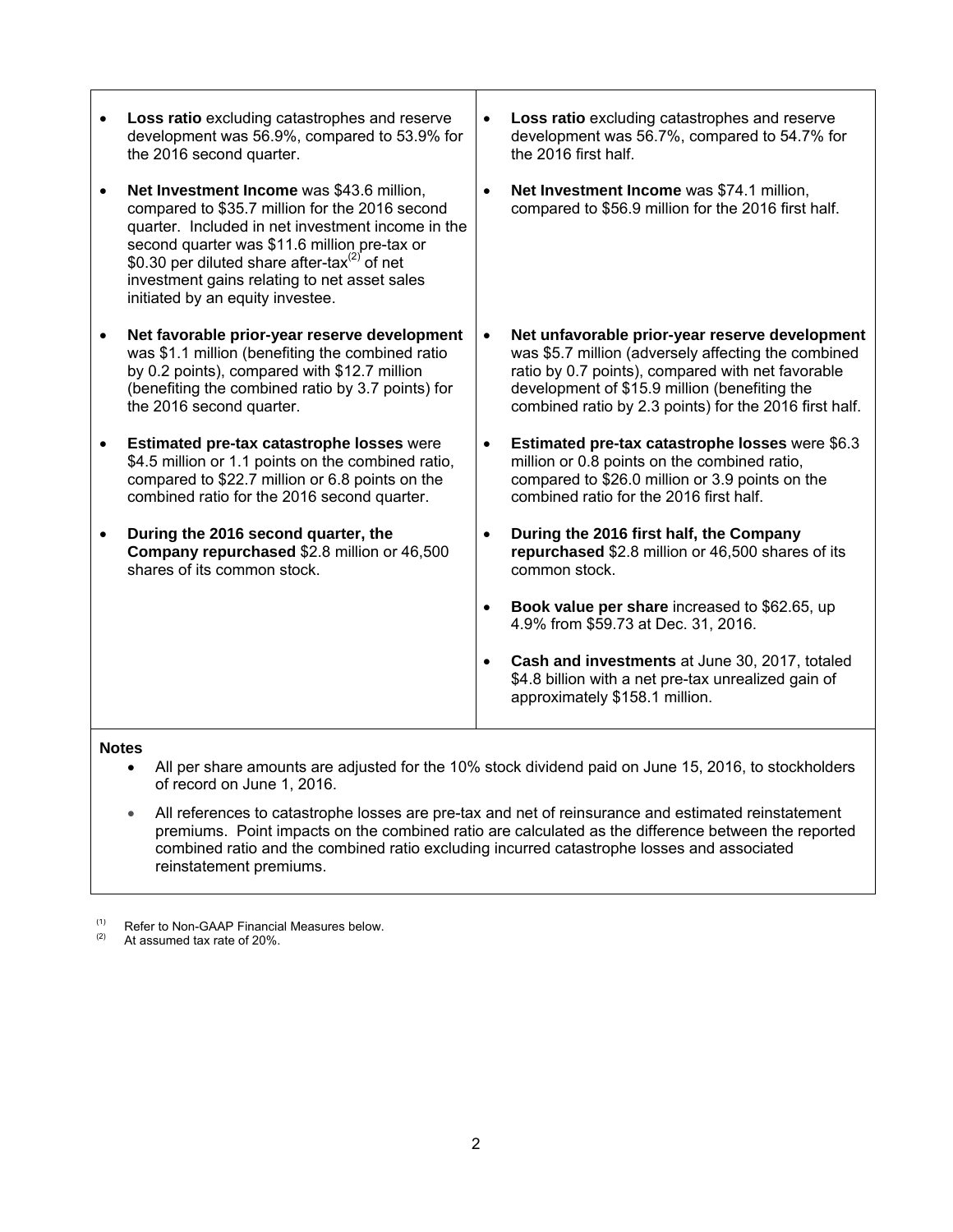| Loss ratio excluding catastrophes and reserve<br>development was 56.9%, compared to 53.9% for<br>the 2016 second quarter.                                                                                                                                                                                                                  |           | Loss ratio excluding catastrophes and reserve<br>development was 56.7%, compared to 54.7% for<br>the 2016 first half.                                                                                                                                                 |
|--------------------------------------------------------------------------------------------------------------------------------------------------------------------------------------------------------------------------------------------------------------------------------------------------------------------------------------------|-----------|-----------------------------------------------------------------------------------------------------------------------------------------------------------------------------------------------------------------------------------------------------------------------|
| Net Investment Income was \$43.6 million,<br>compared to \$35.7 million for the 2016 second<br>quarter. Included in net investment income in the<br>second quarter was \$11.6 million pre-tax or<br>\$0.30 per diluted share after-tax $^{(2)}$ of net<br>investment gains relating to net asset sales<br>initiated by an equity investee. | $\bullet$ | Net Investment Income was \$74.1 million,<br>compared to \$56.9 million for the 2016 first half.                                                                                                                                                                      |
| Net favorable prior-year reserve development<br>was \$1.1 million (benefiting the combined ratio<br>by 0.2 points), compared with \$12.7 million<br>(benefiting the combined ratio by 3.7 points) for<br>the 2016 second quarter.                                                                                                          |           | Net unfavorable prior-year reserve development<br>was \$5.7 million (adversely affecting the combined<br>ratio by 0.7 points), compared with net favorable<br>development of \$15.9 million (benefiting the<br>combined ratio by 2.3 points) for the 2016 first half. |
| Estimated pre-tax catastrophe losses were<br>\$4.5 million or 1.1 points on the combined ratio,<br>compared to \$22.7 million or 6.8 points on the<br>combined ratio for the 2016 second quarter.                                                                                                                                          | $\bullet$ | Estimated pre-tax catastrophe losses were \$6.3<br>million or 0.8 points on the combined ratio,<br>compared to \$26.0 million or 3.9 points on the<br>combined ratio for the 2016 first half.                                                                         |
| During the 2016 second quarter, the<br>Company repurchased \$2.8 million or 46,500<br>shares of its common stock.                                                                                                                                                                                                                          | $\bullet$ | During the 2016 first half, the Company<br>repurchased \$2.8 million or 46,500 shares of its<br>common stock.                                                                                                                                                         |
|                                                                                                                                                                                                                                                                                                                                            |           | Book value per share increased to \$62.65, up<br>4.9% from \$59.73 at Dec. 31, 2016.                                                                                                                                                                                  |
|                                                                                                                                                                                                                                                                                                                                            |           | Cash and investments at June 30, 2017, totaled<br>\$4.8 billion with a net pre-tax unrealized gain of<br>approximately \$158.1 million.                                                                                                                               |
|                                                                                                                                                                                                                                                                                                                                            |           |                                                                                                                                                                                                                                                                       |

#### **Notes**

- All per share amounts are adjusted for the 10% stock dividend paid on June 15, 2016, to stockholders of record on June 1, 2016.
- All references to catastrophe losses are pre-tax and net of reinsurance and estimated reinstatement premiums. Point impacts on the combined ratio are calculated as the difference between the reported combined ratio and the combined ratio excluding incurred catastrophe losses and associated reinstatement premiums.

(1) Refer to Non-GAAP Financial Measures below.<br>(2) At assumed tax rate of 20%

At assumed tax rate of 20%.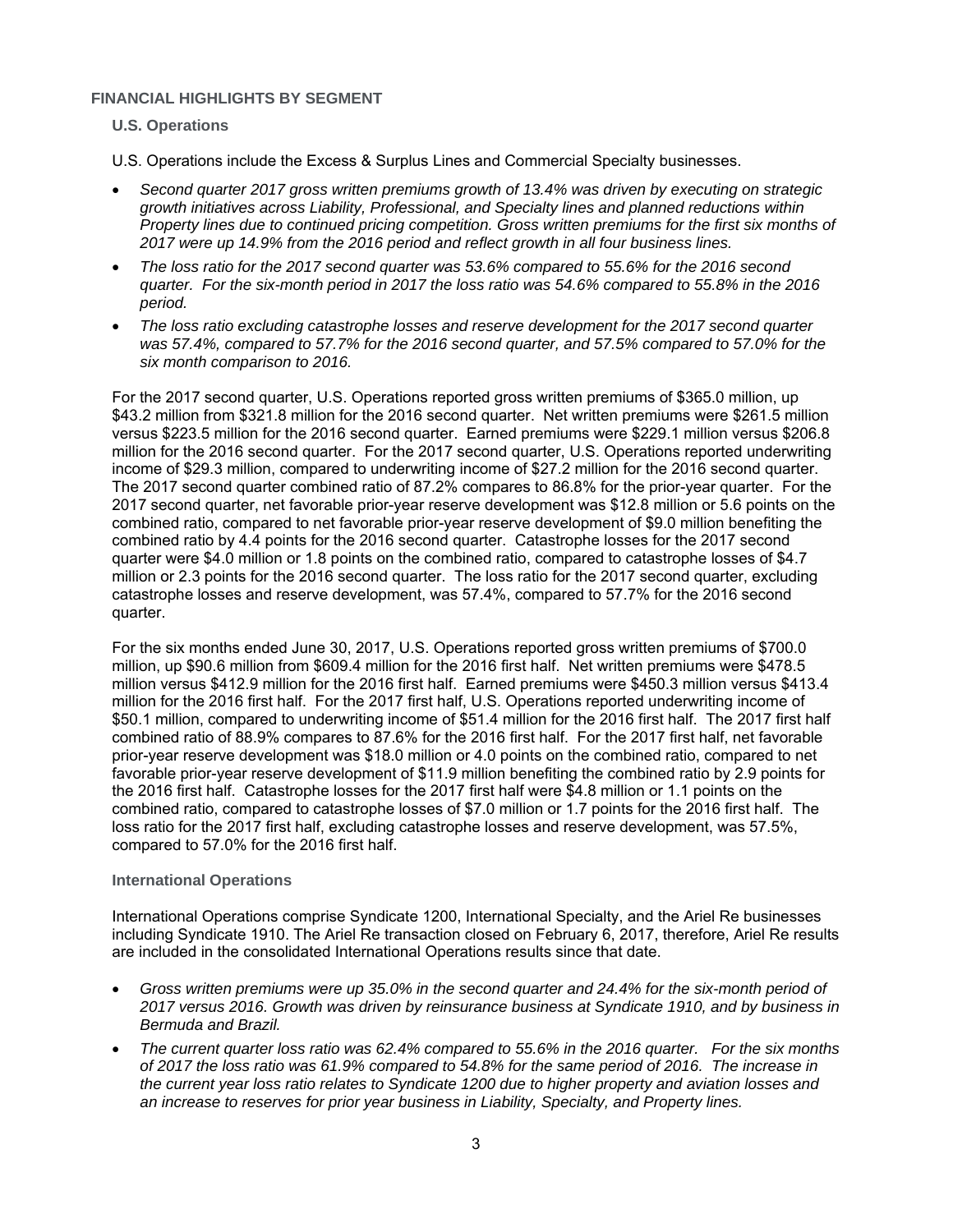### **FINANCIAL HIGHLIGHTS BY SEGMENT**

### **U.S. Operations**

U.S. Operations include the Excess & Surplus Lines and Commercial Specialty businesses.

- *Second quarter 2017 gross written premiums growth of 13.4% was driven by executing on strategic growth initiatives across Liability, Professional, and Specialty lines and planned reductions within Property lines due to continued pricing competition. Gross written premiums for the first six months of 2017 were up 14.9% from the 2016 period and reflect growth in all four business lines.*
- *The loss ratio for the 2017 second quarter was 53.6% compared to 55.6% for the 2016 second quarter. For the six-month period in 2017 the loss ratio was 54.6% compared to 55.8% in the 2016 period.*
- *The loss ratio excluding catastrophe losses and reserve development for the 2017 second quarter was 57.4%, compared to 57.7% for the 2016 second quarter, and 57.5% compared to 57.0% for the six month comparison to 2016.*

For the 2017 second quarter, U.S. Operations reported gross written premiums of \$365.0 million, up \$43.2 million from \$321.8 million for the 2016 second quarter. Net written premiums were \$261.5 million versus \$223.5 million for the 2016 second quarter. Earned premiums were \$229.1 million versus \$206.8 million for the 2016 second quarter. For the 2017 second quarter, U.S. Operations reported underwriting income of \$29.3 million, compared to underwriting income of \$27.2 million for the 2016 second quarter. The 2017 second quarter combined ratio of 87.2% compares to 86.8% for the prior-year quarter. For the 2017 second quarter, net favorable prior-year reserve development was \$12.8 million or 5.6 points on the combined ratio, compared to net favorable prior-year reserve development of \$9.0 million benefiting the combined ratio by 4.4 points for the 2016 second quarter. Catastrophe losses for the 2017 second quarter were \$4.0 million or 1.8 points on the combined ratio, compared to catastrophe losses of \$4.7 million or 2.3 points for the 2016 second quarter. The loss ratio for the 2017 second quarter, excluding catastrophe losses and reserve development, was 57.4%, compared to 57.7% for the 2016 second quarter.

For the six months ended June 30, 2017, U.S. Operations reported gross written premiums of \$700.0 million, up \$90.6 million from \$609.4 million for the 2016 first half. Net written premiums were \$478.5 million versus \$412.9 million for the 2016 first half. Earned premiums were \$450.3 million versus \$413.4 million for the 2016 first half. For the 2017 first half, U.S. Operations reported underwriting income of \$50.1 million, compared to underwriting income of \$51.4 million for the 2016 first half. The 2017 first half combined ratio of 88.9% compares to 87.6% for the 2016 first half. For the 2017 first half, net favorable prior-year reserve development was \$18.0 million or 4.0 points on the combined ratio, compared to net favorable prior-year reserve development of \$11.9 million benefiting the combined ratio by 2.9 points for the 2016 first half. Catastrophe losses for the 2017 first half were \$4.8 million or 1.1 points on the combined ratio, compared to catastrophe losses of \$7.0 million or 1.7 points for the 2016 first half. The loss ratio for the 2017 first half, excluding catastrophe losses and reserve development, was 57.5%, compared to 57.0% for the 2016 first half.

#### **International Operations**

International Operations comprise Syndicate 1200, International Specialty, and the Ariel Re businesses including Syndicate 1910. The Ariel Re transaction closed on February 6, 2017, therefore, Ariel Re results are included in the consolidated International Operations results since that date.

- *Gross written premiums were up 35.0% in the second quarter and 24.4% for the six-month period of 2017 versus 2016. Growth was driven by reinsurance business at Syndicate 1910, and by business in Bermuda and Brazil.*
- *The current quarter loss ratio was 62.4% compared to 55.6% in the 2016 quarter. For the six months of 2017 the loss ratio was 61.9% compared to 54.8% for the same period of 2016. The increase in the current year loss ratio relates to Syndicate 1200 due to higher property and aviation losses and an increase to reserves for prior year business in Liability, Specialty, and Property lines.*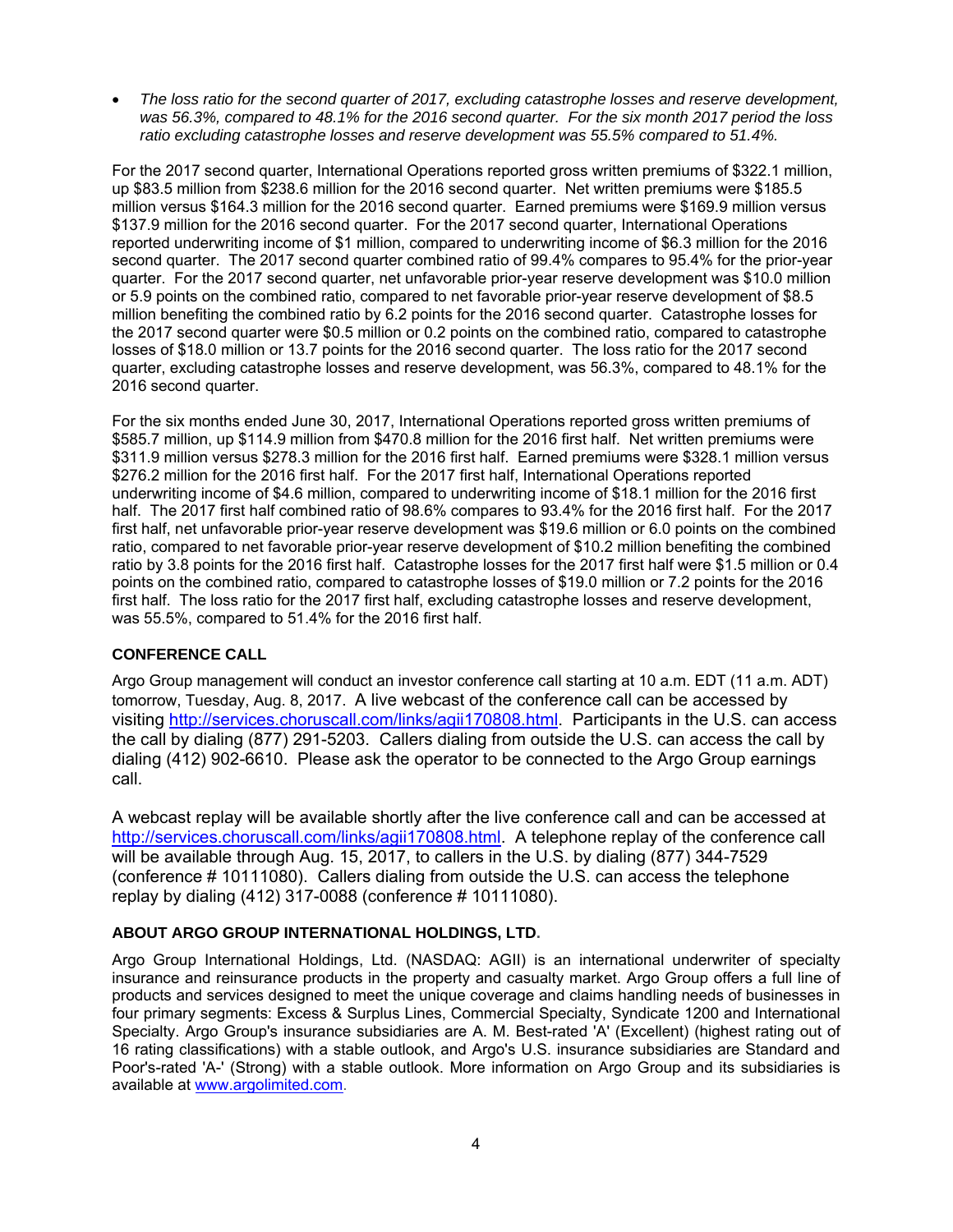*The loss ratio for the second quarter of 2017, excluding catastrophe losses and reserve development, was 56.3%, compared to 48.1% for the 2016 second quarter. For the six month 2017 period the loss ratio excluding catastrophe losses and reserve development was 55.5% compared to 51.4%.* 

For the 2017 second quarter, International Operations reported gross written premiums of \$322.1 million, up \$83.5 million from \$238.6 million for the 2016 second quarter. Net written premiums were \$185.5 million versus \$164.3 million for the 2016 second quarter. Earned premiums were \$169.9 million versus \$137.9 million for the 2016 second quarter. For the 2017 second quarter, International Operations reported underwriting income of \$1 million, compared to underwriting income of \$6.3 million for the 2016 second quarter. The 2017 second quarter combined ratio of 99.4% compares to 95.4% for the prior-year quarter. For the 2017 second quarter, net unfavorable prior-year reserve development was \$10.0 million or 5.9 points on the combined ratio, compared to net favorable prior-year reserve development of \$8.5 million benefiting the combined ratio by 6.2 points for the 2016 second quarter. Catastrophe losses for the 2017 second quarter were \$0.5 million or 0.2 points on the combined ratio, compared to catastrophe losses of \$18.0 million or 13.7 points for the 2016 second quarter. The loss ratio for the 2017 second quarter, excluding catastrophe losses and reserve development, was 56.3%, compared to 48.1% for the 2016 second quarter.

For the six months ended June 30, 2017, International Operations reported gross written premiums of \$585.7 million, up \$114.9 million from \$470.8 million for the 2016 first half. Net written premiums were \$311.9 million versus \$278.3 million for the 2016 first half. Earned premiums were \$328.1 million versus \$276.2 million for the 2016 first half. For the 2017 first half, International Operations reported underwriting income of \$4.6 million, compared to underwriting income of \$18.1 million for the 2016 first half. The 2017 first half combined ratio of 98.6% compares to 93.4% for the 2016 first half. For the 2017 first half, net unfavorable prior-year reserve development was \$19.6 million or 6.0 points on the combined ratio, compared to net favorable prior-year reserve development of \$10.2 million benefiting the combined ratio by 3.8 points for the 2016 first half. Catastrophe losses for the 2017 first half were \$1.5 million or 0.4 points on the combined ratio, compared to catastrophe losses of \$19.0 million or 7.2 points for the 2016 first half. The loss ratio for the 2017 first half, excluding catastrophe losses and reserve development, was 55.5%, compared to 51.4% for the 2016 first half.

### **CONFERENCE CALL**

Argo Group management will conduct an investor conference call starting at 10 a.m. EDT (11 a.m. ADT) tomorrow, Tuesday, Aug. 8, 2017. A live webcast of the conference call can be accessed by visiting http://services.choruscall.com/links/agii170808.html. Participants in the U.S. can access the call by dialing (877) 291-5203. Callers dialing from outside the U.S. can access the call by dialing (412) 902-6610. Please ask the operator to be connected to the Argo Group earnings call.

A webcast replay will be available shortly after the live conference call and can be accessed at http://services.choruscall.com/links/agii170808.html</u>. A telephone replay of the conference call will be available through Aug. 15, 2017, to callers in the U.S. by dialing (877) 344-7529 (conference # 10111080). Callers dialing from outside the U.S. can access the telephone replay by dialing (412) 317-0088 (conference # 10111080).

### **ABOUT ARGO GROUP INTERNATIONAL HOLDINGS, LTD.**

Argo Group International Holdings, Ltd. (NASDAQ: AGII) is an international underwriter of specialty insurance and reinsurance products in the property and casualty market. Argo Group offers a full line of products and services designed to meet the unique coverage and claims handling needs of businesses in four primary segments: Excess & Surplus Lines, Commercial Specialty, Syndicate 1200 and International Specialty. Argo Group's insurance subsidiaries are A. M. Best-rated 'A' (Excellent) (highest rating out of 16 rating classifications) with a stable outlook, and Argo's U.S. insurance subsidiaries are Standard and Poor's-rated 'A-' (Strong) with a stable outlook. More information on Argo Group and its subsidiaries is available at www.argolimited.com.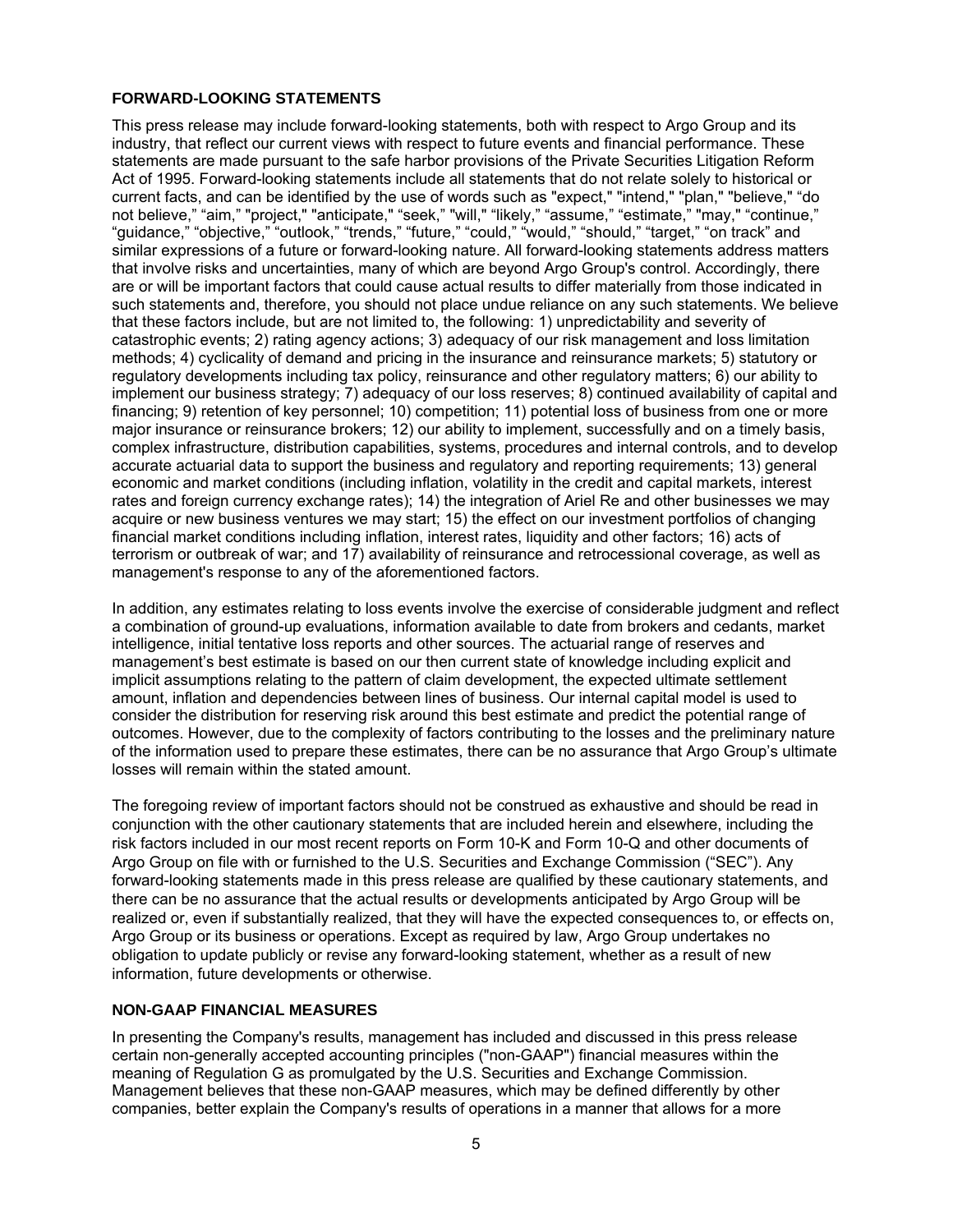#### **FORWARD-LOOKING STATEMENTS**

This press release may include forward-looking statements, both with respect to Argo Group and its industry, that reflect our current views with respect to future events and financial performance. These statements are made pursuant to the safe harbor provisions of the Private Securities Litigation Reform Act of 1995. Forward-looking statements include all statements that do not relate solely to historical or current facts, and can be identified by the use of words such as "expect," "intend," "plan," "believe," "do not believe," "aim," "project," "anticipate," "seek," "will," "likely," "assume," "estimate," "may," "continue," "guidance," "objective," "outlook," "trends," "future," "could," "would," "should," "target," "on track" and similar expressions of a future or forward-looking nature. All forward-looking statements address matters that involve risks and uncertainties, many of which are beyond Argo Group's control. Accordingly, there are or will be important factors that could cause actual results to differ materially from those indicated in such statements and, therefore, you should not place undue reliance on any such statements. We believe that these factors include, but are not limited to, the following: 1) unpredictability and severity of catastrophic events; 2) rating agency actions; 3) adequacy of our risk management and loss limitation methods; 4) cyclicality of demand and pricing in the insurance and reinsurance markets; 5) statutory or regulatory developments including tax policy, reinsurance and other regulatory matters; 6) our ability to implement our business strategy; 7) adequacy of our loss reserves; 8) continued availability of capital and financing; 9) retention of key personnel; 10) competition; 11) potential loss of business from one or more major insurance or reinsurance brokers; 12) our ability to implement, successfully and on a timely basis, complex infrastructure, distribution capabilities, systems, procedures and internal controls, and to develop accurate actuarial data to support the business and regulatory and reporting requirements; 13) general economic and market conditions (including inflation, volatility in the credit and capital markets, interest rates and foreign currency exchange rates); 14) the integration of Ariel Re and other businesses we may acquire or new business ventures we may start; 15) the effect on our investment portfolios of changing financial market conditions including inflation, interest rates, liquidity and other factors; 16) acts of terrorism or outbreak of war; and 17) availability of reinsurance and retrocessional coverage, as well as management's response to any of the aforementioned factors.

In addition, any estimates relating to loss events involve the exercise of considerable judgment and reflect a combination of ground-up evaluations, information available to date from brokers and cedants, market intelligence, initial tentative loss reports and other sources. The actuarial range of reserves and management's best estimate is based on our then current state of knowledge including explicit and implicit assumptions relating to the pattern of claim development, the expected ultimate settlement amount, inflation and dependencies between lines of business. Our internal capital model is used to consider the distribution for reserving risk around this best estimate and predict the potential range of outcomes. However, due to the complexity of factors contributing to the losses and the preliminary nature of the information used to prepare these estimates, there can be no assurance that Argo Group's ultimate losses will remain within the stated amount.

The foregoing review of important factors should not be construed as exhaustive and should be read in conjunction with the other cautionary statements that are included herein and elsewhere, including the risk factors included in our most recent reports on Form 10-K and Form 10-Q and other documents of Argo Group on file with or furnished to the U.S. Securities and Exchange Commission ("SEC"). Any forward-looking statements made in this press release are qualified by these cautionary statements, and there can be no assurance that the actual results or developments anticipated by Argo Group will be realized or, even if substantially realized, that they will have the expected consequences to, or effects on, Argo Group or its business or operations. Except as required by law, Argo Group undertakes no obligation to update publicly or revise any forward-looking statement, whether as a result of new information, future developments or otherwise.

#### **NON-GAAP FINANCIAL MEASURES**

In presenting the Company's results, management has included and discussed in this press release certain non-generally accepted accounting principles ("non-GAAP") financial measures within the meaning of Regulation G as promulgated by the U.S. Securities and Exchange Commission. Management believes that these non-GAAP measures, which may be defined differently by other companies, better explain the Company's results of operations in a manner that allows for a more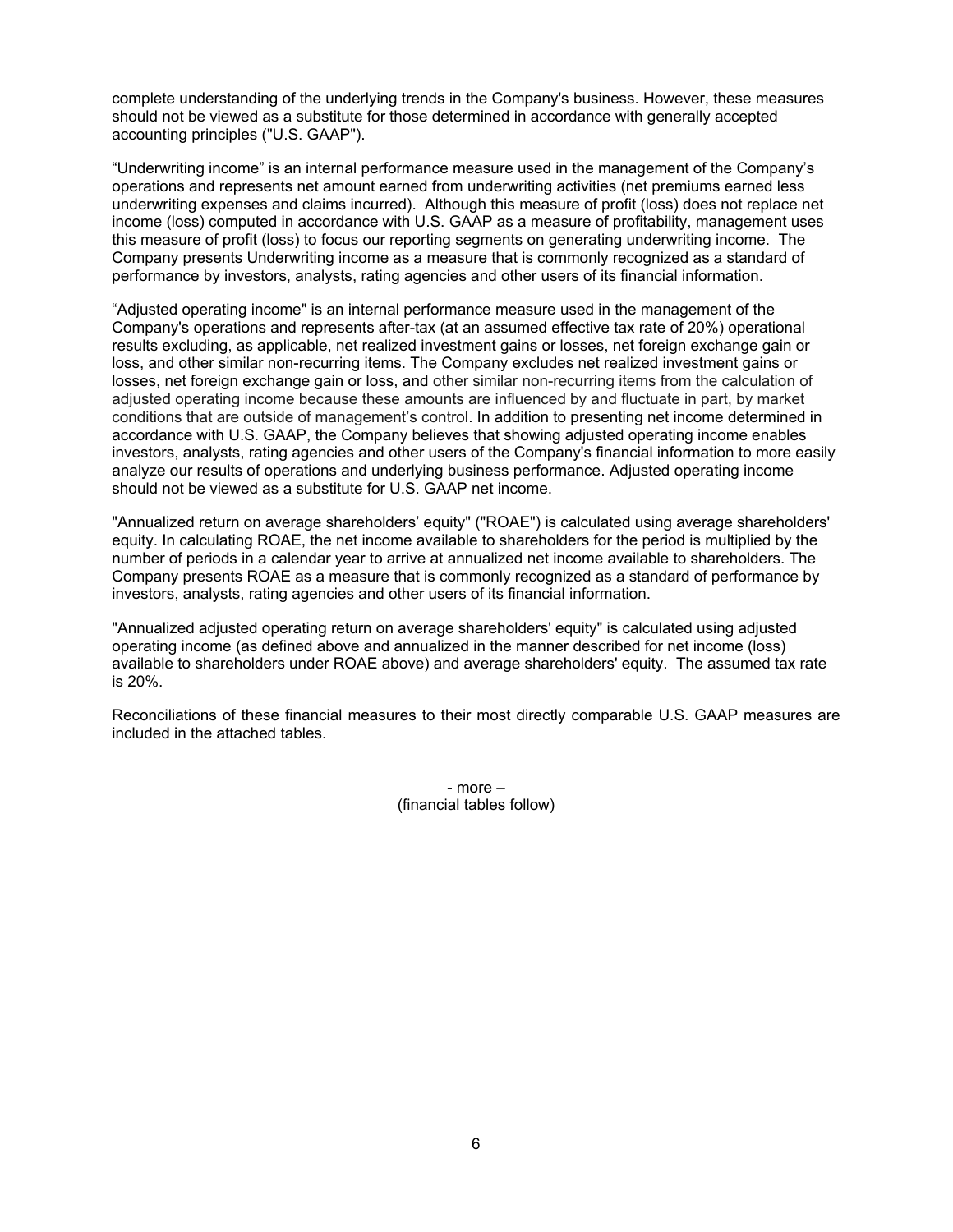complete understanding of the underlying trends in the Company's business. However, these measures should not be viewed as a substitute for those determined in accordance with generally accepted accounting principles ("U.S. GAAP").

"Underwriting income" is an internal performance measure used in the management of the Company's operations and represents net amount earned from underwriting activities (net premiums earned less underwriting expenses and claims incurred). Although this measure of profit (loss) does not replace net income (loss) computed in accordance with U.S. GAAP as a measure of profitability, management uses this measure of profit (loss) to focus our reporting segments on generating underwriting income. The Company presents Underwriting income as a measure that is commonly recognized as a standard of performance by investors, analysts, rating agencies and other users of its financial information.

"Adjusted operating income" is an internal performance measure used in the management of the Company's operations and represents after-tax (at an assumed effective tax rate of 20%) operational results excluding, as applicable, net realized investment gains or losses, net foreign exchange gain or loss, and other similar non-recurring items. The Company excludes net realized investment gains or losses, net foreign exchange gain or loss, and other similar non-recurring items from the calculation of adjusted operating income because these amounts are influenced by and fluctuate in part, by market conditions that are outside of management's control. In addition to presenting net income determined in accordance with U.S. GAAP, the Company believes that showing adjusted operating income enables investors, analysts, rating agencies and other users of the Company's financial information to more easily analyze our results of operations and underlying business performance. Adjusted operating income should not be viewed as a substitute for U.S. GAAP net income.

"Annualized return on average shareholders' equity" ("ROAE") is calculated using average shareholders' equity. In calculating ROAE, the net income available to shareholders for the period is multiplied by the number of periods in a calendar year to arrive at annualized net income available to shareholders. The Company presents ROAE as a measure that is commonly recognized as a standard of performance by investors, analysts, rating agencies and other users of its financial information.

"Annualized adjusted operating return on average shareholders' equity" is calculated using adjusted operating income (as defined above and annualized in the manner described for net income (loss) available to shareholders under ROAE above) and average shareholders' equity. The assumed tax rate is 20%.

Reconciliations of these financial measures to their most directly comparable U.S. GAAP measures are included in the attached tables.

> - more – (financial tables follow)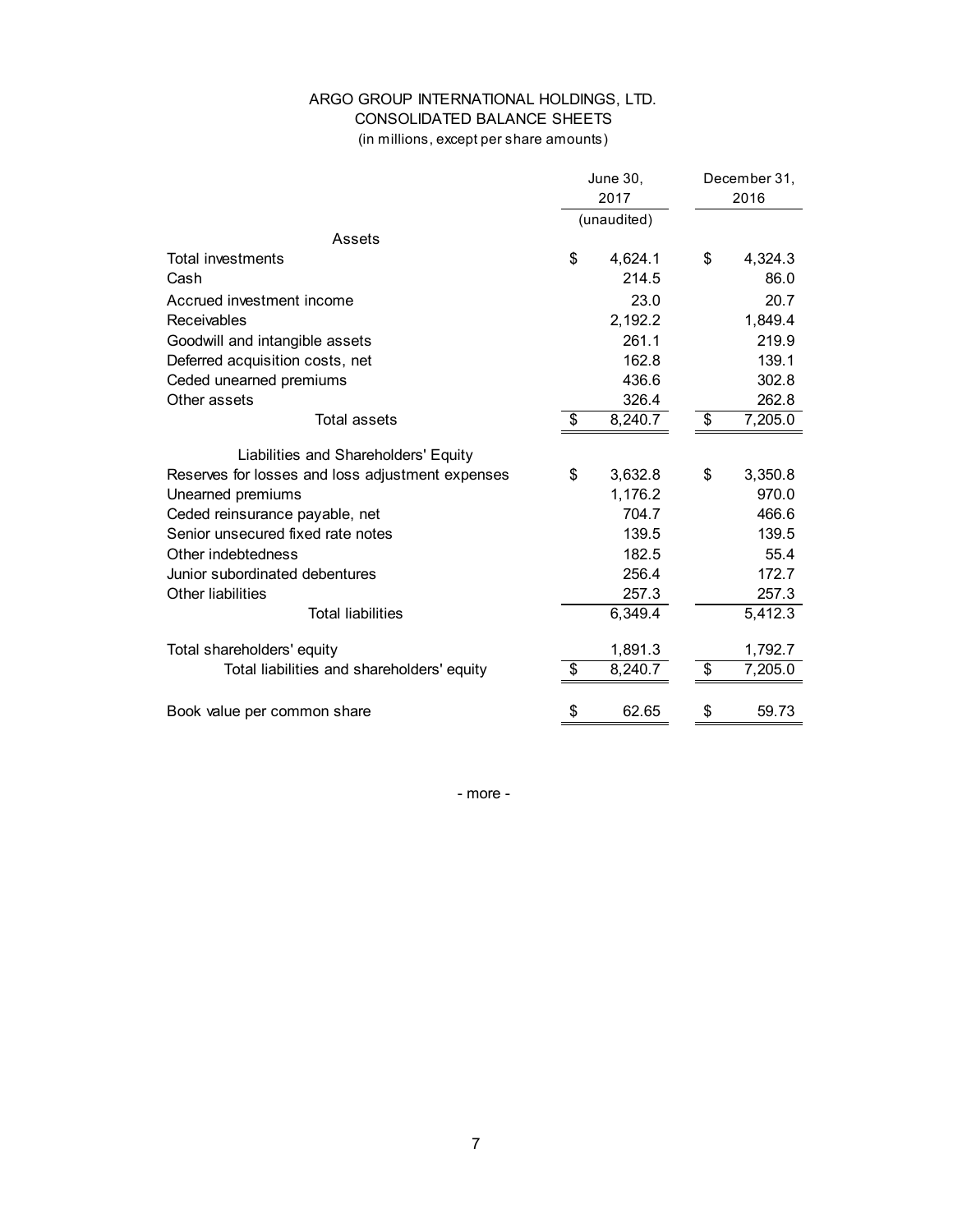# ARGO GROUP INTERNATIONAL HOLDINGS, LTD. CONSOLIDATED BALANCE SHEETS

(in millions, except per share amounts)

|                                                  | June 30,      | December 31,  |
|--------------------------------------------------|---------------|---------------|
|                                                  | 2017          | 2016          |
|                                                  | (unaudited)   |               |
| Assets                                           |               |               |
| Total investments                                | \$<br>4,624.1 | \$<br>4,324.3 |
| Cash                                             | 214.5         | 86.0          |
| Accrued investment income                        | 23.0          | 20.7          |
| Receivables                                      | 2,192.2       | 1,849.4       |
| Goodwill and intangible assets                   | 261.1         | 219.9         |
| Deferred acquisition costs, net                  | 162.8         | 139.1         |
| Ceded unearned premiums                          | 436.6         | 302.8         |
| Other assets                                     | 326.4         | 262.8         |
| <b>Total assets</b>                              | \$<br>8,240.7 | \$<br>7,205.0 |
|                                                  |               |               |
| Liabilities and Shareholders' Equity             |               |               |
| Reserves for losses and loss adjustment expenses | \$<br>3,632.8 | \$<br>3,350.8 |
| Unearned premiums                                | 1,176.2       | 970.0         |
| Ceded reinsurance payable, net                   | 704.7         | 466.6         |
| Senior unsecured fixed rate notes                | 139.5         | 139.5         |
| Other indebtedness                               | 182.5         | 55.4          |
| Junior subordinated debentures                   | 256.4         | 172.7         |
| <b>Other liabilities</b>                         | 257.3         | 257.3         |
| <b>Total liabilities</b>                         | 6,349.4       | 5,412.3       |
| Total shareholders' equity                       | 1,891.3       | 1,792.7       |
| Total liabilities and shareholders' equity       | \$<br>8,240.7 | \$<br>7,205.0 |
| Book value per common share                      | \$<br>62.65   | \$<br>59.73   |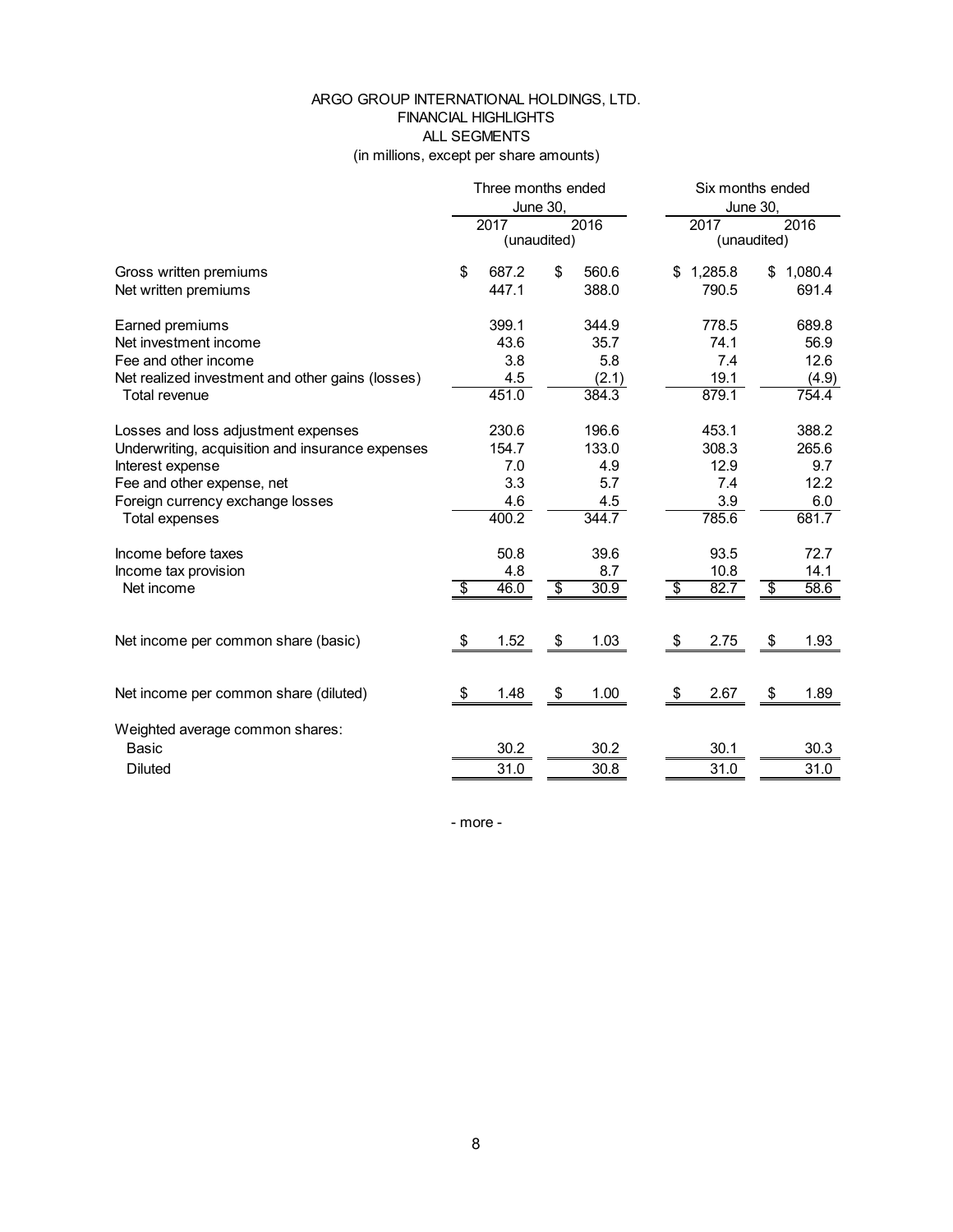### ARGO GROUP INTERNATIONAL HOLDINGS, LTD. FINANCIAL HIGHLIGHTS ALL SEGMENTS (in millions, except per share amounts)

|                                                                          | Three months ended<br>June 30, |                     |                 |                     |                 | Six months ended     | June 30,        |                        |  |
|--------------------------------------------------------------------------|--------------------------------|---------------------|-----------------|---------------------|-----------------|----------------------|-----------------|------------------------|--|
|                                                                          | 2017                           | (unaudited)         |                 | 2016                |                 | 2017                 | (unaudited)     | 2016                   |  |
| Gross written premiums<br>Net written premiums                           | \$                             | 687.2<br>447.1      | \$              | 560.6<br>388.0      | \$              | 1,285.8<br>790.5     | \$              | 1,080.4<br>691.4       |  |
| Earned premiums<br>Net investment income                                 |                                | 399.1<br>43.6       |                 | 344.9<br>35.7       |                 | 778.5<br>74.1        |                 | 689.8<br>56.9          |  |
| Fee and other income<br>Net realized investment and other gains (losses) |                                | 3.8<br>4.5<br>451.0 |                 | 5.8<br>(2.1)        |                 | 7.4<br>19.1<br>879.1 |                 | 12.6<br>(4.9)<br>754.4 |  |
| Total revenue<br>Losses and loss adjustment expenses                     |                                | 230.6               |                 | 384.3<br>196.6      |                 | 453.1                |                 | 388.2                  |  |
| Underwriting, acquisition and insurance expenses<br>Interest expense     |                                | 154.7<br>7.0        |                 | 133.0<br>4.9        |                 | 308.3<br>12.9        |                 | 265.6<br>9.7           |  |
| Fee and other expense, net<br>Foreign currency exchange losses           |                                | 3.3<br>4.6<br>400.2 |                 | 5.7<br>4.5<br>344.7 |                 | 7.4<br>3.9<br>785.6  |                 | 12.2<br>6.0<br>681.7   |  |
| Total expenses<br>Income before taxes                                    |                                | 50.8                |                 | 39.6                |                 | 93.5                 |                 | 72.7                   |  |
| Income tax provision<br>Net income                                       | ङ                              | 4.8<br>46.0         | $\overline{\$}$ | 8.7<br>30.9         | $\overline{\$}$ | 10.8<br>82.7         | $\overline{\$}$ | 14.1<br>58.6           |  |
| Net income per common share (basic)                                      | \$                             | 1.52                | \$              | 1.03                | \$              | 2.75                 | \$              | 1.93                   |  |
| Net income per common share (diluted)                                    | -\$                            | 1.48                | \$              | 1.00                | \$              | 2.67                 | \$              | 1.89                   |  |
| Weighted average common shares:<br>Basic                                 |                                | 30.2                |                 | 30.2                |                 | 30.1                 |                 | 30.3                   |  |
| <b>Diluted</b>                                                           |                                | 31.0                |                 | 30.8                |                 | 31.0                 |                 | 31.0                   |  |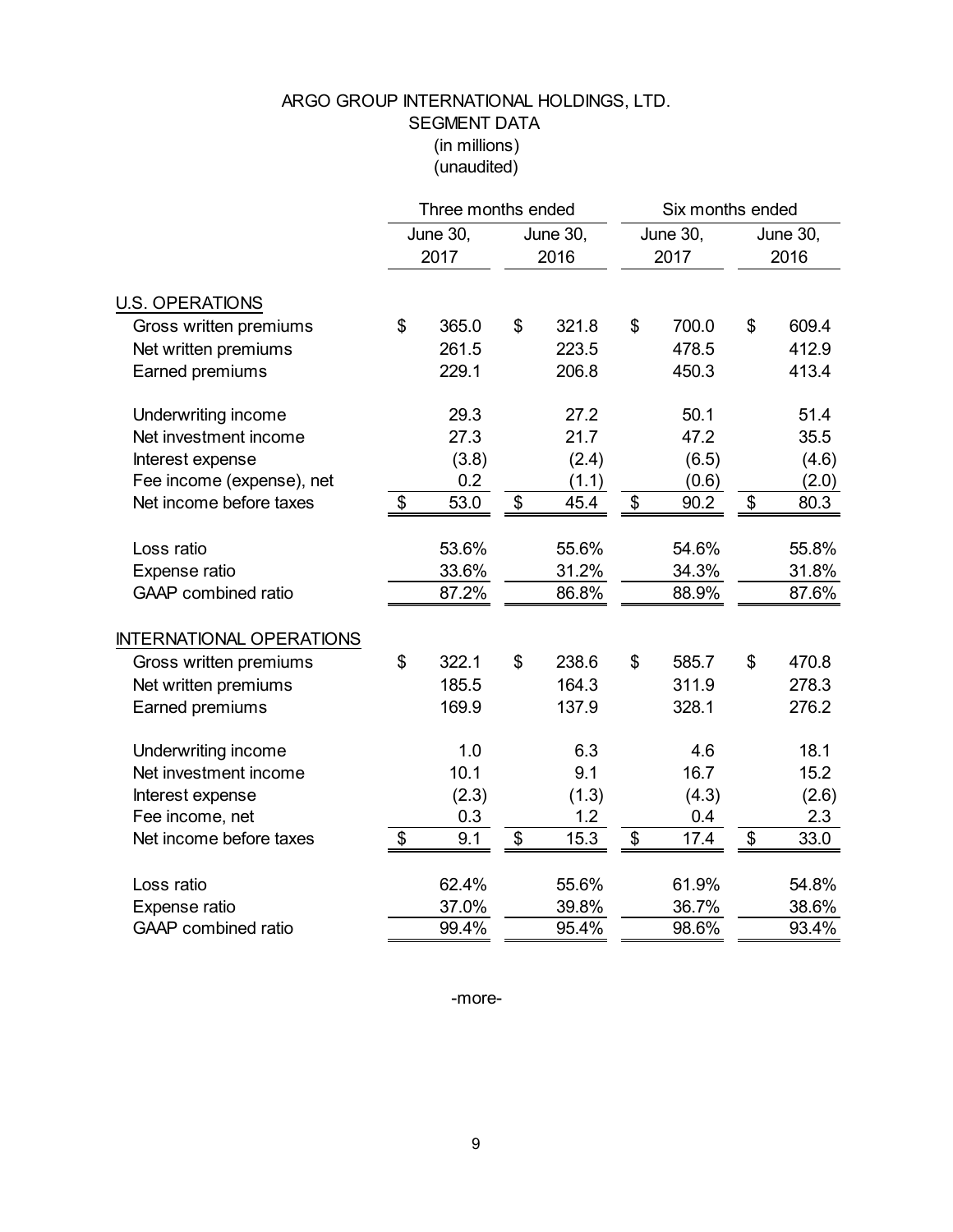# ARGO GROUP INTERNATIONAL HOLDINGS, LTD. SEGMENT DATA (in millions) (unaudited)

|                                 | Three months ended |                 |               |                 |               |                 |    | Six months ended |  |  |  |
|---------------------------------|--------------------|-----------------|---------------|-----------------|---------------|-----------------|----|------------------|--|--|--|
|                                 |                    | <b>June 30,</b> |               | <b>June 30,</b> |               | <b>June 30,</b> |    | <b>June 30,</b>  |  |  |  |
|                                 |                    | 2017            |               | 2016            |               | 2017            |    | 2016             |  |  |  |
| <b>U.S. OPERATIONS</b>          |                    |                 |               |                 |               |                 |    |                  |  |  |  |
| Gross written premiums          | \$                 | 365.0           | \$            | 321.8           | \$            | 700.0           | \$ | 609.4            |  |  |  |
| Net written premiums            |                    | 261.5           |               | 223.5           |               | 478.5           |    | 412.9            |  |  |  |
| Earned premiums                 |                    | 229.1           |               | 206.8           |               | 450.3           |    | 413.4            |  |  |  |
| Underwriting income             |                    | 29.3            |               | 27.2            |               | 50.1            |    | 51.4             |  |  |  |
| Net investment income           |                    | 27.3            |               | 21.7            |               | 47.2            |    | 35.5             |  |  |  |
| Interest expense                |                    | (3.8)           |               | (2.4)           |               | (6.5)           |    | (4.6)            |  |  |  |
| Fee income (expense), net       |                    | 0.2             |               | (1.1)           |               | (0.6)           |    | (2.0)            |  |  |  |
| Net income before taxes         | \$                 | 53.0            | $\frac{1}{2}$ | 45.4            | $\frac{1}{2}$ | 90.2            | \$ | 80.3             |  |  |  |
| Loss ratio                      |                    | 53.6%           |               | 55.6%           |               | 54.6%           |    | 55.8%            |  |  |  |
| Expense ratio                   |                    | 33.6%           |               | 31.2%           |               | 34.3%           |    | 31.8%            |  |  |  |
| GAAP combined ratio             |                    | 87.2%           |               | 86.8%           |               | 88.9%           |    | 87.6%            |  |  |  |
| <b>INTERNATIONAL OPERATIONS</b> |                    |                 |               |                 |               |                 |    |                  |  |  |  |
| Gross written premiums          | \$                 | 322.1           | \$            | 238.6           | \$            | 585.7           | \$ | 470.8            |  |  |  |
| Net written premiums            |                    | 185.5           |               | 164.3           |               | 311.9           |    | 278.3            |  |  |  |
| Earned premiums                 |                    | 169.9           |               | 137.9           |               | 328.1           |    | 276.2            |  |  |  |
| Underwriting income             |                    | 1.0             |               | 6.3             |               | 4.6             |    | 18.1             |  |  |  |
| Net investment income           |                    | 10.1            |               | 9.1             |               | 16.7            |    | 15.2             |  |  |  |
| Interest expense                |                    | (2.3)           |               | (1.3)           |               | (4.3)           |    | (2.6)            |  |  |  |
| Fee income, net                 |                    | 0.3             |               | 1.2             |               | 0.4             |    | 2.3              |  |  |  |
| Net income before taxes         | \$                 | 9.1             | \$            | 15.3            | \$            | 17.4            | \$ | 33.0             |  |  |  |
| Loss ratio                      |                    | 62.4%           |               | 55.6%           |               | 61.9%           |    | 54.8%            |  |  |  |
| Expense ratio                   |                    | 37.0%           |               | 39.8%           |               | 36.7%           |    | 38.6%            |  |  |  |
| GAAP combined ratio             |                    | 99.4%           |               | 95.4%           |               | 98.6%           |    | 93.4%            |  |  |  |

-more-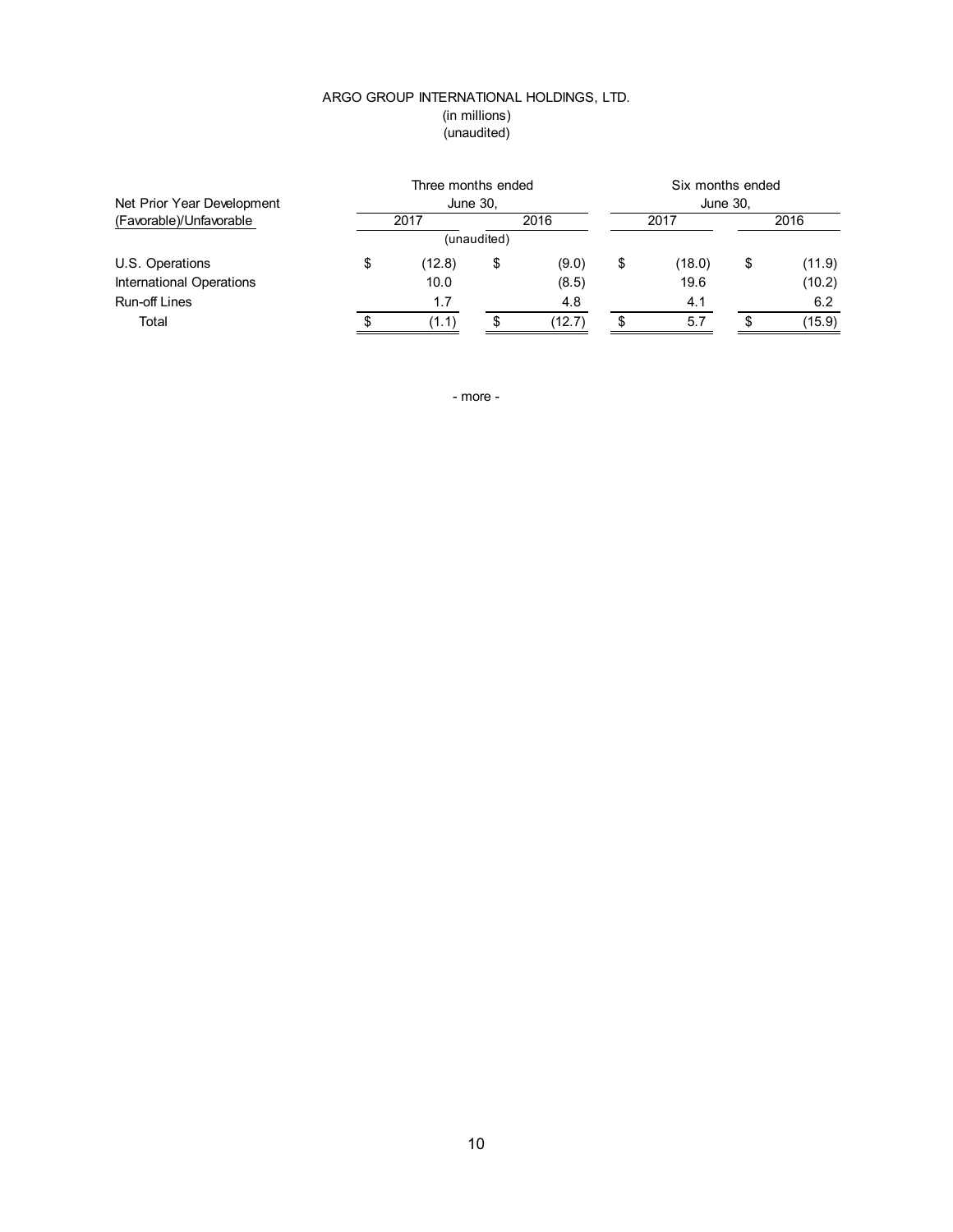#### (in millions) ARGO GROUP INTERNATIONAL HOLDINGS, LTD. (unaudited)

| Net Prior Year Development | Three months ended<br>June 30, |             |        | Six months ended |        |      |        |
|----------------------------|--------------------------------|-------------|--------|------------------|--------|------|--------|
| (Favorable)/Unfavorable    | 2017                           |             | 2016   |                  | 2017   | 2016 |        |
|                            |                                | (unaudited) |        |                  |        |      |        |
| U.S. Operations            | \$<br>(12.8)                   | \$          | (9.0)  | \$               | (18.0) | \$   | (11.9) |
| International Operations   | 10.0                           |             | (8.5)  |                  | 19.6   |      | (10.2) |
| <b>Run-off Lines</b>       | 1.7                            |             | 4.8    |                  | 4.1    |      | 6.2    |
| Total                      | (1.1)                          |             | (12.7) |                  | 5.7    |      | (15.9) |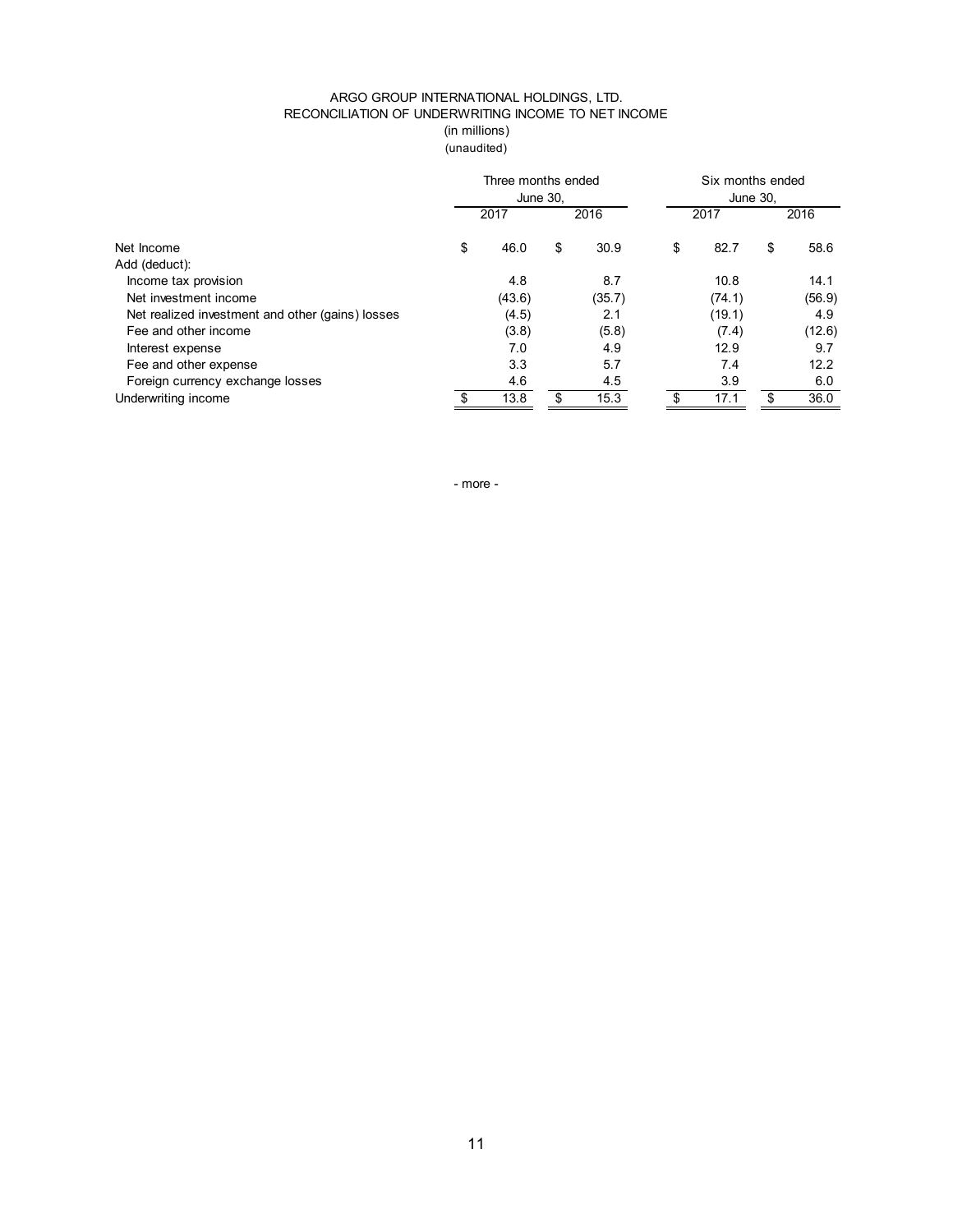#### ARGO GROUP INTERNATIONAL HOLDINGS, LTD. RECONCILIATION OF UNDERWRITING INCOME TO NET INCOME (in millions) (unaudited)

|                                                  | Three months ended<br>June 30. |    | Six months ended<br>June 30. |            |    |        |  |
|--------------------------------------------------|--------------------------------|----|------------------------------|------------|----|--------|--|
|                                                  | 2017                           |    | 2016                         | 2017       |    | 2016   |  |
| Net Income                                       | \$<br>46.0                     | \$ | 30.9                         | \$<br>82.7 | \$ | 58.6   |  |
| Add (deduct):                                    |                                |    |                              |            |    |        |  |
| Income tax provision                             | 4.8                            |    | 8.7                          | 10.8       |    | 14.1   |  |
| Net investment income                            | (43.6)                         |    | (35.7)                       | (74.1)     |    | (56.9) |  |
| Net realized investment and other (gains) losses | (4.5)                          |    | 2.1                          | (19.1)     |    | 4.9    |  |
| Fee and other income                             | (3.8)                          |    | (5.8)                        | (7.4)      |    | (12.6) |  |
| Interest expense                                 | 7.0                            |    | 4.9                          | 12.9       |    | 9.7    |  |
| Fee and other expense                            | 3.3                            |    | 5.7                          | 7.4        |    | 12.2   |  |
| Foreign currency exchange losses                 | 4.6                            |    | 4.5                          | 3.9        |    | 6.0    |  |
| Underwriting income                              | 13.8                           | \$ | 15.3                         | \$<br>17.1 | S  | 36.0   |  |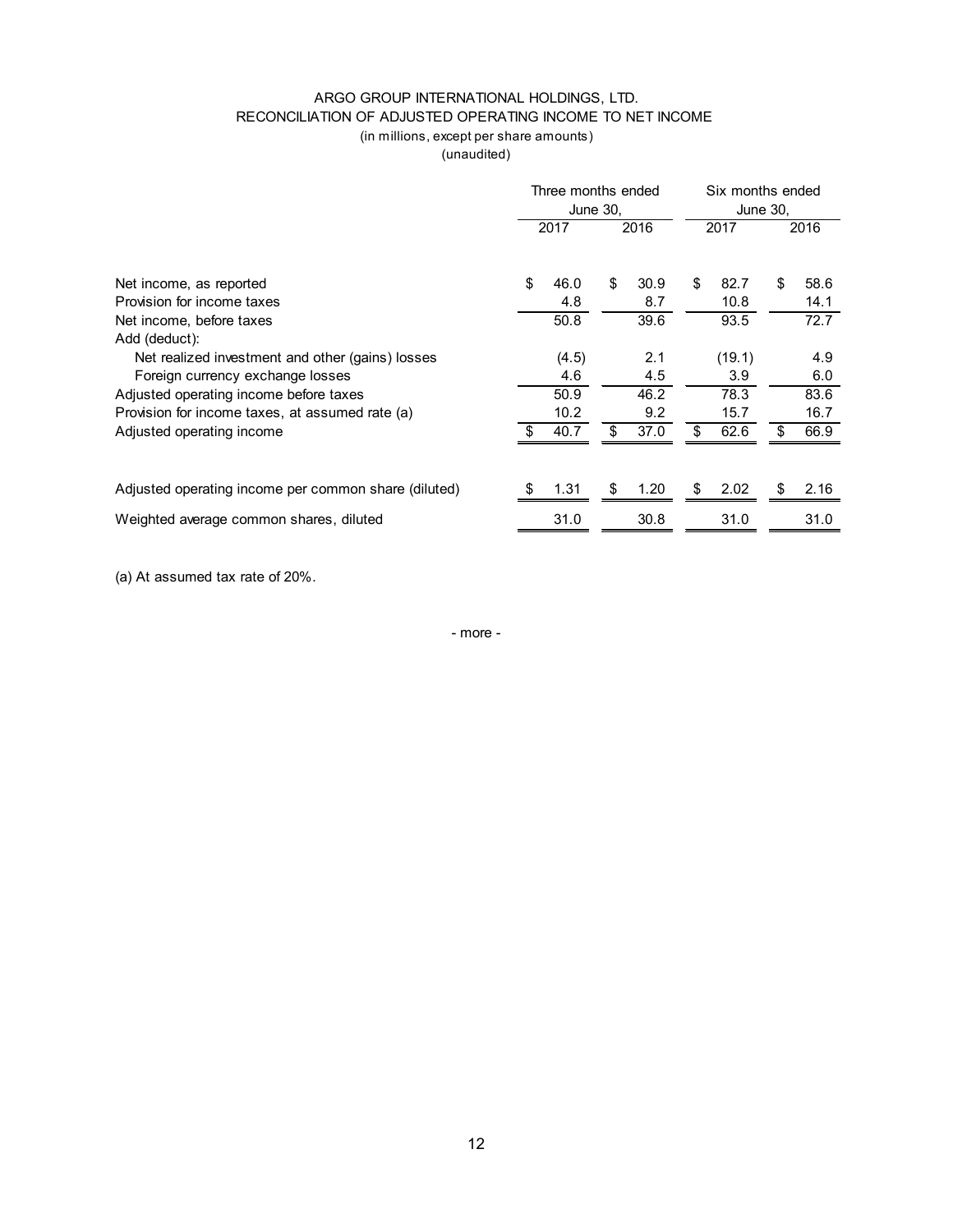# ARGO GROUP INTERNATIONAL HOLDINGS, LTD. RECONCILIATION OF ADJUSTED OPERATING INCOME TO NET INCOME

(in millions, except per share amounts)

(unaudited)

|                                                      | Three months ended<br>June 30, |       |    |      |    | Six months ended<br>June 30, |    |      |  |
|------------------------------------------------------|--------------------------------|-------|----|------|----|------------------------------|----|------|--|
|                                                      |                                | 2017  |    | 2016 |    | 2017                         |    | 2016 |  |
| Net income, as reported                              | \$                             | 46.0  | \$ | 30.9 | \$ | 82.7                         | \$ | 58.6 |  |
| Provision for income taxes                           |                                | 4.8   |    | 8.7  |    | 10.8                         |    | 14.1 |  |
| Net income, before taxes                             |                                | 50.8  |    | 39.6 |    | 93.5                         |    | 72.7 |  |
| Add (deduct):                                        |                                |       |    |      |    |                              |    |      |  |
| Net realized investment and other (gains) losses     |                                | (4.5) |    | 2.1  |    | (19.1)                       |    | 4.9  |  |
| Foreign currency exchange losses                     |                                | 4.6   |    | 4.5  |    | 3.9                          |    | 6.0  |  |
| Adjusted operating income before taxes               |                                | 50.9  |    | 46.2 |    | 78.3                         |    | 83.6 |  |
| Provision for income taxes, at assumed rate (a)      |                                | 10.2  |    | 9.2  |    | 15.7                         |    | 16.7 |  |
| Adjusted operating income                            | \$.                            | 40.7  | S  | 37.0 | \$ | 62.6                         | \$ | 66.9 |  |
|                                                      |                                |       |    |      |    |                              |    |      |  |
| Adjusted operating income per common share (diluted) | S                              | 1.31  | S  | 1.20 | \$ | 2.02                         | \$ | 2.16 |  |
| Weighted average common shares, diluted              |                                | 31.0  |    | 30.8 |    | 31.0                         |    | 31.0 |  |

(a) At assumed tax rate of 20%.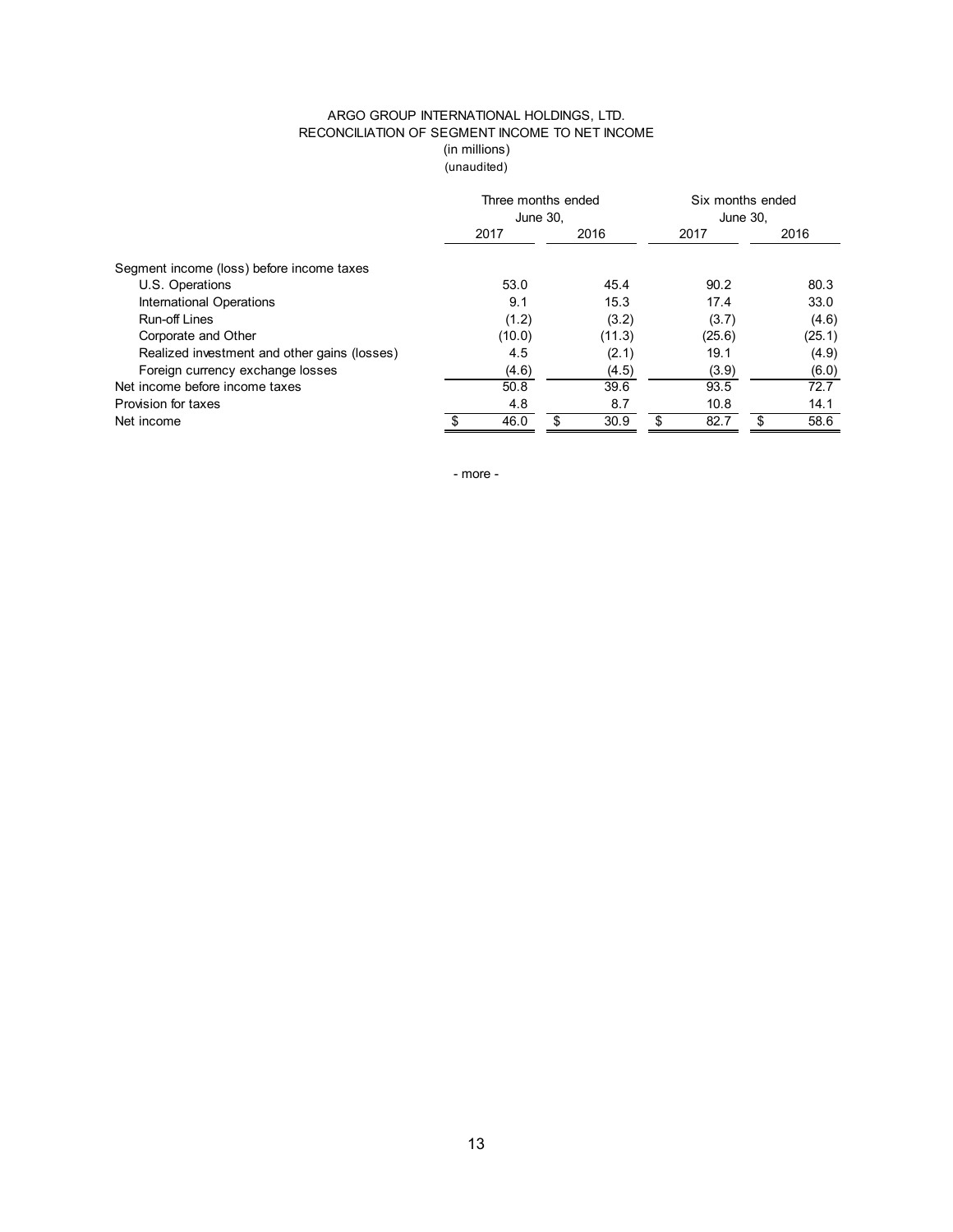#### ARGO GROUP INTERNATIONAL HOLDINGS, LTD. RECONCILIATION OF SEGMENT INCOME TO NET INCOME (in millions) (unaudited)

|                                              | Three months ended<br>June 30, |        |  |        |    | Six months ended<br><b>June 30,</b> |            |
|----------------------------------------------|--------------------------------|--------|--|--------|----|-------------------------------------|------------|
|                                              | 2017<br>2016                   |        |  |        |    | 2017                                | 2016       |
| Segment income (loss) before income taxes    |                                |        |  |        |    |                                     |            |
| U.S. Operations                              |                                | 53.0   |  | 45.4   |    | 90.2                                | 80.3       |
| International Operations                     |                                | 9.1    |  | 15.3   |    | 17.4                                | 33.0       |
| Run-off Lines                                |                                | (1.2)  |  | (3.2)  |    | (3.7)                               | (4.6)      |
| Corporate and Other                          |                                | (10.0) |  | (11.3) |    | (25.6)                              | (25.1)     |
| Realized investment and other gains (losses) |                                | 4.5    |  | (2.1)  |    | 19.1                                | (4.9)      |
| Foreign currency exchange losses             |                                | (4.6)  |  | (4.5)  |    | (3.9)                               | (6.0)      |
| Net income before income taxes               |                                | 50.8   |  | 39.6   |    | 93.5                                | 72.7       |
| Provision for taxes                          |                                | 4.8    |  | 8.7    |    | 10.8                                | 14.1       |
| Net income                                   |                                | 46.0   |  | 30.9   | \$ | 82.7                                | \$<br>58.6 |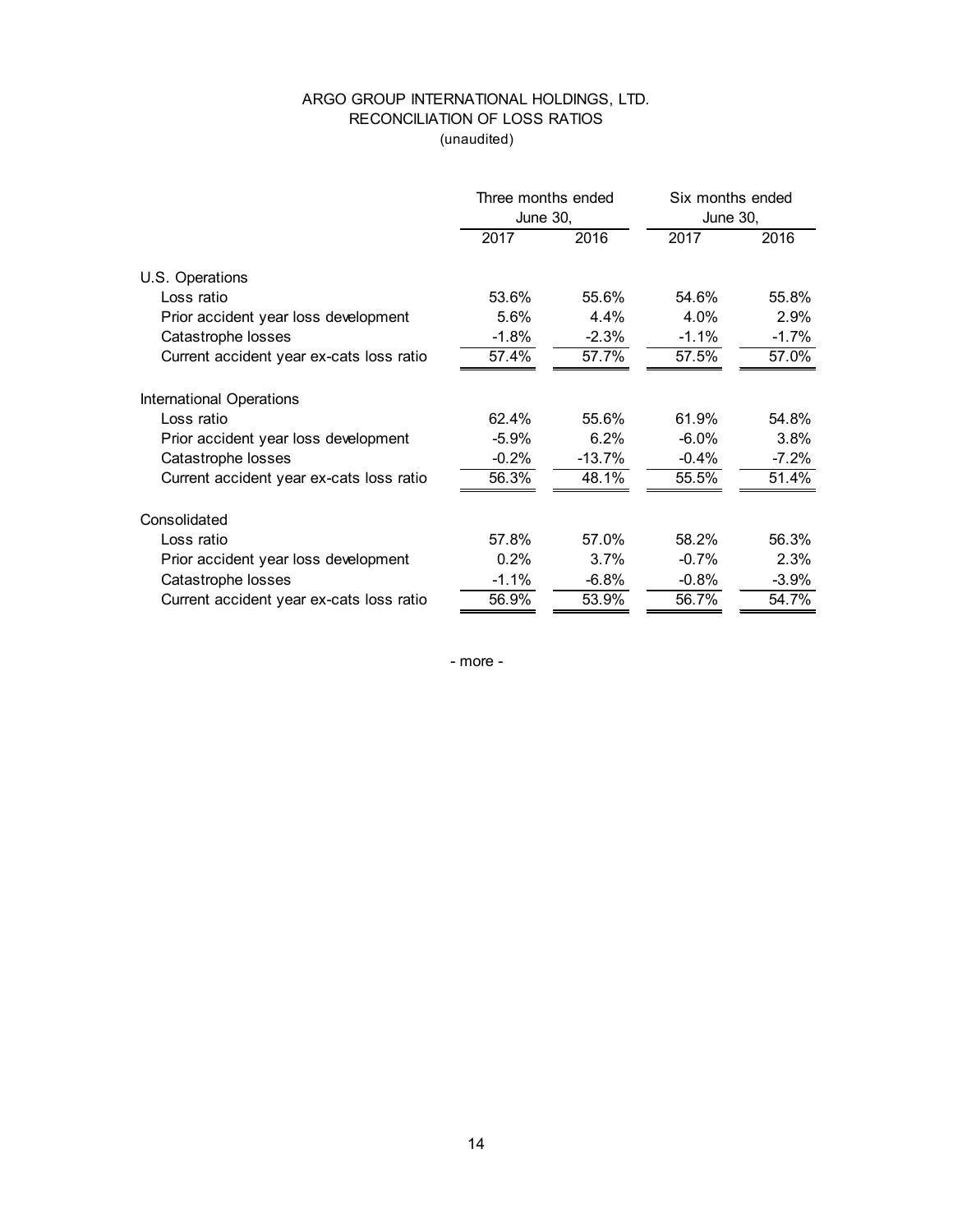# ARGO GROUP INTERNATIONAL HOLDINGS, LTD. RECONCILIATION OF LOSS RATIOS

(unaudited)

|                                          | Three months ended<br><b>June 30,</b> |           | Six months ended<br>June 30, |          |
|------------------------------------------|---------------------------------------|-----------|------------------------------|----------|
|                                          | 2017                                  | 2016      | 2017                         | 2016     |
| U.S. Operations                          |                                       |           |                              |          |
| Loss ratio                               | 53.6%                                 | 55.6%     | 54.6%                        | 55.8%    |
| Prior accident year loss development     | 5.6%                                  | 4.4%      | 4.0%                         | $2.9\%$  |
| Catastrophe losses                       | $-1.8%$                               | $-2.3%$   | $-1.1%$                      | $-1.7%$  |
| Current accident year ex-cats loss ratio | 57.4%                                 | 57.7%     | 57.5%                        | 57.0%    |
| <b>International Operations</b>          |                                       |           |                              |          |
| Loss ratio                               | 62.4%                                 | 55.6%     | 61.9%                        | 54.8%    |
| Prior accident year loss development     | $-5.9\%$                              | 6.2%      | $-6.0\%$                     | 3.8%     |
| Catastrophe losses                       | $-0.2%$                               | $-13.7\%$ | $-0.4%$                      | $-7.2\%$ |
| Current accident year ex-cats loss ratio | 56.3%                                 | 48.1%     | 55.5%                        | 51.4%    |
| Consolidated                             |                                       |           |                              |          |
| Loss ratio                               | 57.8%                                 | 57.0%     | 58.2%                        | 56.3%    |
| Prior accident year loss development     | 0.2%                                  | $3.7\%$   | $-0.7%$                      | 2.3%     |
| Catastrophe losses                       | $-1.1\%$                              | $-6.8%$   | $-0.8%$                      | $-3.9%$  |
| Current accident year ex-cats loss ratio | 56.9%                                 | 53.9%     | 56.7%                        | 54.7%    |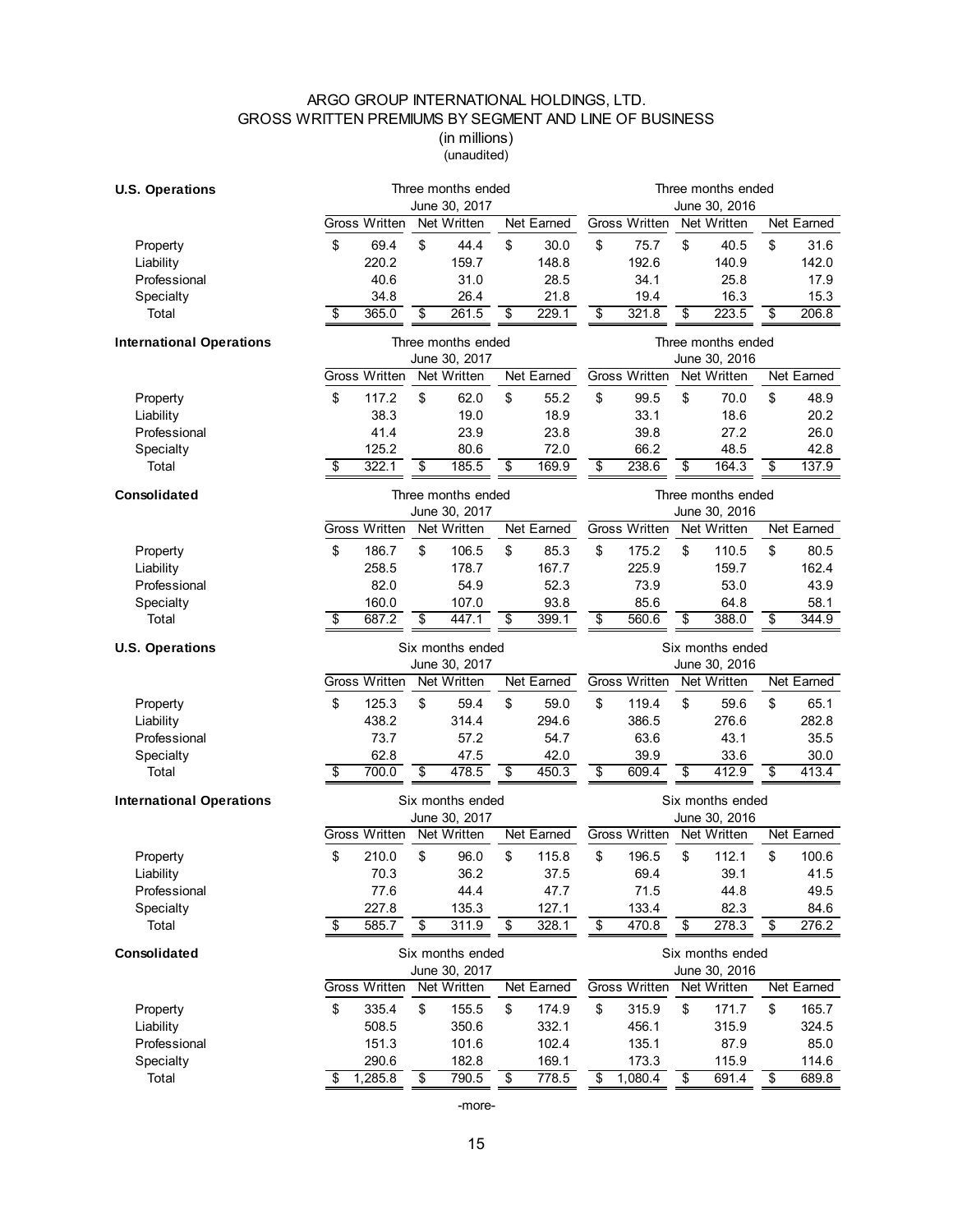## ARGO GROUP INTERNATIONAL HOLDINGS, LTD. GROSS WRITTEN PREMIUMS BY SEGMENT AND LINE OF BUSINESS (in millions)

(unaudited)

| <b>U.S. Operations</b>          |                                      |                      |                                  | Three months ended |    |                |                        | Three months ended               |                    |    |                |
|---------------------------------|--------------------------------------|----------------------|----------------------------------|--------------------|----|----------------|------------------------|----------------------------------|--------------------|----|----------------|
|                                 |                                      |                      |                                  | June 30, 2017      |    |                |                        |                                  | June 30, 2016      |    |                |
|                                 |                                      | <b>Gross Written</b> |                                  | Net Written        |    | Net Earned     | Gross Written          |                                  | Net Written        |    | Net Earned     |
| Property                        | \$                                   | 69.4                 | \$                               | 44.4               | \$ | 30.0           | \$<br>75.7             | \$                               | 40.5               | \$ | 31.6           |
| Liability                       |                                      | 220.2                |                                  | 159.7              |    | 148.8          | 192.6                  |                                  | 140.9              |    | 142.0          |
| Professional                    |                                      | 40.6                 |                                  | 31.0               |    | 28.5           | 34.1                   |                                  | 25.8               |    | 17.9           |
| Specialty                       |                                      | 34.8                 |                                  | 26.4               |    | 21.8           | 19.4                   |                                  | 16.3               |    | 15.3           |
| Total                           | \$                                   | 365.0                | \$                               | 261.5              | \$ | 229.1          | \$<br>321.8            | \$                               | 223.5              | \$ | 206.8          |
| <b>International Operations</b> |                                      |                      |                                  | Three months ended |    |                |                        |                                  | Three months ended |    |                |
|                                 |                                      | <b>Gross Written</b> |                                  | June 30, 2017      |    |                |                        |                                  | June 30, 2016      |    |                |
|                                 |                                      |                      |                                  | <b>Net Written</b> |    | Net Earned     | <b>Gross Written</b>   |                                  | Net Written        |    | Net Earned     |
| Property                        | \$                                   | 117.2                | \$                               | 62.0               | \$ | 55.2           | \$<br>99.5             | \$                               | 70.0               | \$ | 48.9           |
| Liability                       |                                      | 38.3                 |                                  | 19.0               |    | 18.9           | 33.1                   |                                  | 18.6               |    | 20.2           |
| Professional                    |                                      | 41.4                 |                                  | 23.9               |    | 23.8           | 39.8                   |                                  | 27.2               |    | 26.0           |
| Specialty                       |                                      | 125.2                |                                  | 80.6               |    | 72.0           | 66.2                   |                                  | 48.5               |    | 42.8           |
| Total                           | \$                                   | 322.1                | \$                               | 185.5              | \$ | 169.9          | \$<br>238.6            | \$                               | 164.3              | \$ | 137.9          |
| Consolidated                    |                                      |                      |                                  | Three months ended |    |                |                        |                                  | Three months ended |    |                |
|                                 |                                      |                      |                                  | June 30, 2017      |    |                |                        |                                  | June 30, 2016      |    |                |
|                                 |                                      | <b>Gross Written</b> |                                  | Net Written        |    | Net Earned     | <b>Gross Written</b>   |                                  | Net Written        |    | Net Earned     |
| Property                        | \$                                   | 186.7                | \$                               | 106.5              | \$ | 85.3           | \$<br>175.2            | \$                               | 110.5              | \$ | 80.5           |
| Liability                       |                                      | 258.5                |                                  | 178.7              |    | 167.7          | 225.9                  |                                  | 159.7              |    | 162.4          |
| Professional                    |                                      | 82.0                 |                                  | 54.9               |    | 52.3           | 73.9                   |                                  | 53.0               |    | 43.9           |
| Specialty                       |                                      | 160.0                |                                  | 107.0              |    | 93.8           | 85.6                   |                                  | 64.8               |    | 58.1           |
| Total                           | \$                                   | 687.2                | \$                               | 447.1              | \$ | 399.1          | \$<br>560.6            | \$                               | 388.0              | \$ | 344.9          |
|                                 | Six months ended<br>Six months ended |                      |                                  |                    |    |                |                        |                                  |                    |    |                |
| <b>U.S. Operations</b>          |                                      |                      |                                  |                    |    |                |                        |                                  |                    |    |                |
|                                 |                                      |                      |                                  | June 30, 2017      |    |                |                        |                                  | June 30, 2016      |    |                |
|                                 |                                      | <b>Gross Written</b> |                                  | Net Written        |    | Net Earned     | <b>Gross Written</b>   |                                  | Net Written        |    | Net Earned     |
| Property                        | \$                                   | 125.3                | \$                               | 59.4               | \$ | 59.0           | \$<br>119.4            | \$                               | 59.6               | \$ | 65.1           |
| Liability                       |                                      | 438.2                |                                  | 314.4              |    | 294.6          | 386.5                  |                                  | 276.6              |    | 282.8          |
| Professional                    |                                      | 73.7                 |                                  | 57.2               |    | 54.7           | 63.6                   |                                  | 43.1               |    | 35.5           |
| Specialty                       |                                      | 62.8                 |                                  | 47.5               |    | 42.0           | 39.9                   |                                  | 33.6               |    | 30.0           |
| Total                           | \$                                   | 700.0                | \$                               | 478.5              | \$ | 450.3          | \$<br>609.4            | \$                               | 412.9              | \$ | 413.4          |
| <b>International Operations</b> |                                      |                      |                                  | Six months ended   |    |                |                        |                                  | Six months ended   |    |                |
|                                 |                                      |                      |                                  | June 30, 2017      |    |                |                        |                                  | June 30, 2016      |    |                |
|                                 |                                      | <b>Gross Written</b> |                                  | Net Written        |    | Net Earned     | <b>Gross Written</b>   |                                  | Net Written        |    | Net Earned     |
| Property                        | \$                                   | 210.0                | \$                               | 96.0               | \$ | 115.8          | \$<br>196.5            | \$                               | 112.1              | \$ | 100.6          |
| Liability                       |                                      | 70.3                 |                                  | 36.2               |    | 37.5           | 69.4                   |                                  | 39.1               |    | 41.5           |
| Professional                    |                                      | 77.6                 |                                  | 44.4               |    | 47.7           | 71.5                   |                                  | 44.8               |    | 49.5           |
| Specialty                       |                                      | 227.8                |                                  | 135.3              |    | 127.1          | 133.4                  |                                  | 82.3               |    | 84.6           |
| Total                           | \$                                   | 585.7                | \$                               | 311.9              | \$ | 328.1          | \$<br>470.8            | \$                               | 278.3              | \$ | 276.2          |
| Consolidated                    |                                      |                      |                                  | Six months ended   |    |                |                        |                                  | Six months ended   |    |                |
|                                 |                                      |                      |                                  | June 30, 2017      |    |                |                        |                                  | June 30, 2016      |    |                |
|                                 |                                      | Gross Written        |                                  | <b>Net Written</b> |    | Net Earned     | Gross Written          |                                  | Net Written        |    | Net Earned     |
| Property                        | \$                                   | 335.4                | \$                               | 155.5              | \$ | 174.9          | \$<br>315.9            | \$                               | 171.7              | \$ | 165.7          |
| Liability                       |                                      | 508.5                |                                  | 350.6              |    | 332.1          | 456.1                  |                                  | 315.9              |    | 324.5          |
| Professional                    |                                      | 151.3                |                                  | 101.6              |    | 102.4          | 135.1                  |                                  | 87.9               |    | 85.0           |
| Specialty<br>Total              | S                                    | 290.6<br>1,285.8     | $\overline{\boldsymbol{\theta}}$ | 182.8<br>790.5     | \$ | 169.1<br>778.5 | \$<br>173.3<br>1,080.4 | $\overline{\boldsymbol{\theta}}$ | 115.9<br>691.4     | \$ | 114.6<br>689.8 |

-more-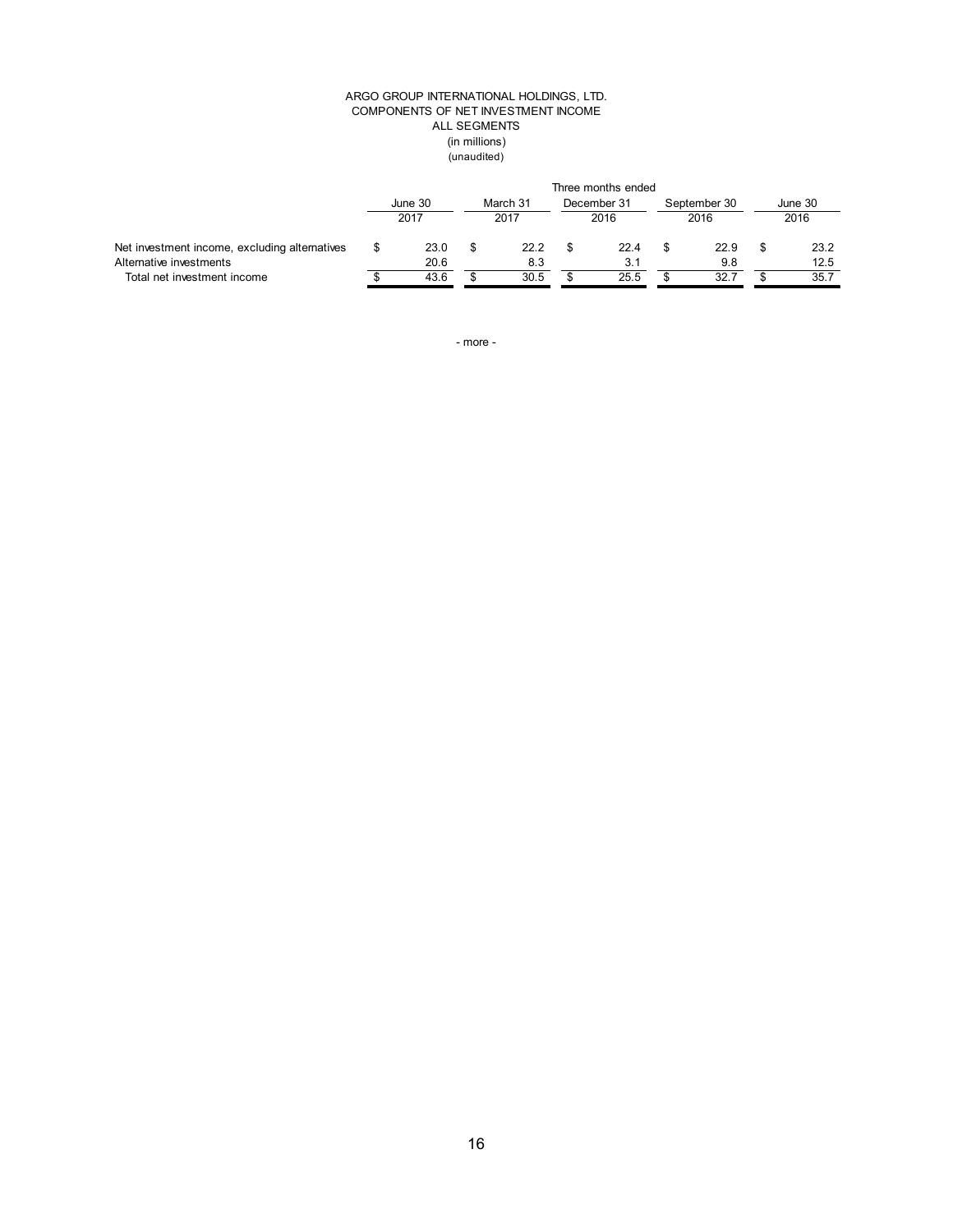#### ARGO GROUP INTERNATIONAL HOLDINGS, LTD. COMPONENTS OF NET INVESTMENT INCOME ALL SEGMENTS (in millions) (unaudited)

|                                               |         | Three months ended |          |      |  |             |  |              |  |         |  |
|-----------------------------------------------|---------|--------------------|----------|------|--|-------------|--|--------------|--|---------|--|
|                                               | June 30 |                    | March 31 |      |  | December 31 |  | September 30 |  | June 30 |  |
|                                               |         | 2017<br>2017       |          | 2016 |  | 2016        |  | 2016         |  |         |  |
| Net investment income, excluding alternatives |         | 23.0               |          | 22.2 |  | 22.4        |  | 22.9         |  | 23.2    |  |
| Alternative investments                       |         | 20.6               |          | 8.3  |  | 3.1         |  | 9.8          |  | 12.5    |  |
| Total net investment income                   |         | 43.6               |          | 30.5 |  | 25.5        |  | 32.7         |  | 35.7    |  |